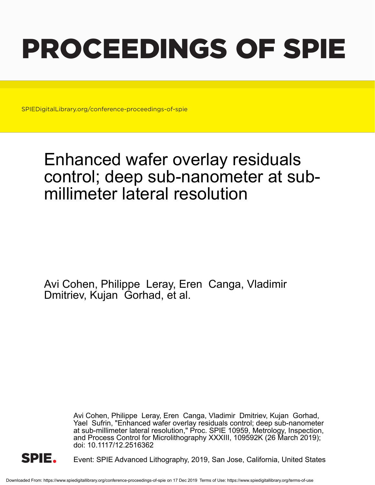# PROCEEDINGS OF SPIE

SPIEDigitalLibrary.org/conference-proceedings-of-spie

## Enhanced wafer overlay residuals control; deep sub-nanometer at submillimeter lateral resolution

Avi Cohen, Philippe Leray, Eren Canga, Vladimir Dmitriev, Kujan Gorhad, et al.

> Avi Cohen, Philippe Leray, Eren Canga, Vladimir Dmitriev, Kujan Gorhad, Yael Sufrin, "Enhanced wafer overlay residuals control; deep sub-nanometer at sub-millimeter lateral resolution," Proc. SPIE 10959, Metrology, Inspection, and Process Control for Microlithography XXXIII, 109592K (26 March 2019); doi: 10.1117/12.2516362



Event: SPIE Advanced Lithography, 2019, San Jose, California, United States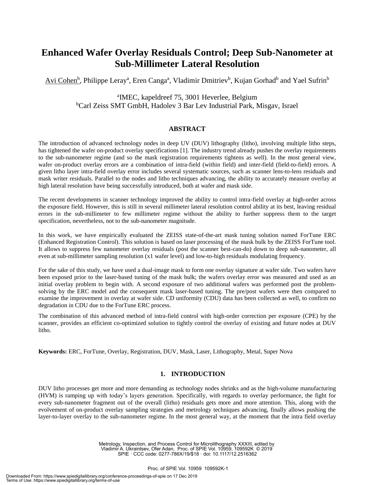### **Enhanced Wafer Overlay Residuals Control; Deep Sub-Nanometer at Sub-Millimeter Lateral Resolution**

Avi Cohen<sup>b</sup>, Philippe Leray<sup>a</sup>, Eren Canga<sup>a</sup>, Vladimir Dmitriev<sup>b</sup>, Kujan Gorhad<sup>b</sup> and Yael Sufrin<sup>b</sup>

a IMEC, kapeldreef 75, 3001 Heverlee, Belgium <sup>b</sup>Carl Zeiss SMT GmbH, Hadolev 3 Bar Lev Industrial Park, Misgav, Israel

#### **ABSTRACT**

The introduction of advanced technology nodes in deep UV (DUV) lithography (litho), involving multiple litho steps, has tightened the wafer on-product overlay specifications [1]. The industry trend already pushes the overlay requirements to the sub-nanometer regime (and so the mask registration requirements tightens as well). In the most general view, wafer on-product overlay errors are a combination of intra-field (within field) and inter-field (field-to-field) errors. A given litho layer intra-field overlay error includes several systematic sources, such as scanner lens-to-lens residuals and mask writer residuals. Parallel to the nodes and litho techniques advancing, the ability to accurately measure overlay at high lateral resolution have being successfully introduced, both at wafer and mask side.

The recent developments in scanner technology improved the ability to control intra-field overlay at high-order across the exposure field. However, this is still in several millimeter lateral resolution control ability at its best, leaving residual errors in the sub-millimeter to few millimeter regime without the ability to further suppress them to the target specification, nevertheless, not to the sub-nanometer magnitude.

In this work, we have empirically evaluated the ZEISS state-of-the-art mask tuning solution named ForTune ERC (Enhanced Registration Control). This solution is based on laser processing of the mask bulk by the ZEISS ForTune tool. It allows to suppress few nanometer overlay residuals (post the scanner best-can-do) down to deep sub-nanometer, all even at sub-millimeter sampling resolution (x1 wafer level) and low-to-high residuals modulating frequency.

For the sake of this study, we have used a dual-image mask to form one overlay signature at wafer side. Two wafers have been exposed prior to the laser-based tuning of the mask bulk; the wafers overlay error was measured and used as an initial overlay problem to begin with. A second exposure of two additional wafers was performed post the problemsolving by the ERC model and the consequent mask laser-based tuning. The pre/post wafers were then compared to examine the improvement in overlay at wafer side. CD uniformity (CDU) data has been collected as well, to confirm no degradation in CDU due to the ForTune ERC process.

The combination of this advanced method of intra-field control with high-order correction per exposure (CPE) by the scanner, provides an efficient co-optimized solution to tightly control the overlay of existing and future nodes at DUV litho.

**Keywords:** ERC, ForTune, Overlay, Registration, DUV, Mask, Laser, Lithography, Metal, Super Nova

#### **1. INTRODUCTION**

DUV litho processes get more and more demanding as technology nodes shrinks and as the high-volume manufacturing (HVM) is ramping up with today's layers generation. Specifically, with regards to overlay performance, the fight for every sub-nanometer fragment out of the overall (litho) residuals gets more and more attention. This, along with the evolvement of on-product overlay sampling strategies and metrology techniques advancing, finally allows pushing the layer-to-layer overlay to the sub-nanometer regime. In the most general way, at the moment that the intra field overlay

> Metrology, Inspection, and Process Control for Microlithography XXXIII, edited by Vladimir A. Ukraintsev, Ofer Adan, Proc. of SPIE Vol. 10959, 109592K © 2019 SPIE · CCC code: 0277-786X/19/\$18 · doi: 10.1117/12.2516362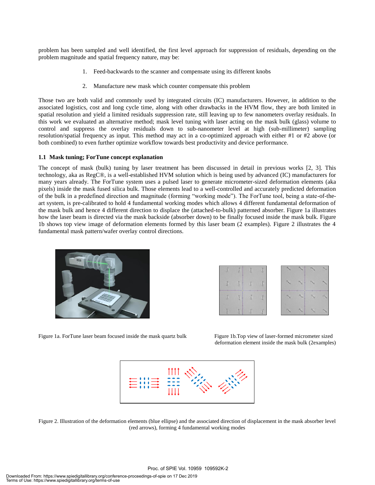problem has been sampled and well identified, the first level approach for suppression of residuals, depending on the problem magnitude and spatial frequency nature, may be:

- 1. Feed-backwards to the scanner and compensate using its different knobs
- 2. Manufacture new mask which counter compensate this problem

Those two are both valid and commonly used by integrated circuits (IC) manufacturers. However, in addition to the associated logistics, cost and long cycle time, along with other drawbacks in the HVM flow, they are both limited in spatial resolution and yield a limited residuals suppression rate, still leaving up to few nanometers overlay residuals. In this work we evaluated an alternative method; mask level tuning with laser acting on the mask bulk (glass) volume to control and suppress the overlay residuals down to sub-nanometer level at high (sub-millimeter) sampling resolution/spatial frequency as input. This method may act in a co-optimized approach with either #1 or #2 above (or both combined) to even further optimize workflow towards best productivity and device performance.

#### **1.1 Mask tuning; ForTune concept explanation**

The concept of mask (bulk) tuning by laser treatment has been discussed in detail in previous works [2, 3]. This technology, aka as RegC®, is a well-established HVM solution which is being used by advanced (IC) manufacturers for many years already. The ForTune system uses a pulsed laser to generate micrometer-sized deformation elements (aka pixels) inside the mask fused silica bulk. Those elements lead to a well-controlled and accurately predicted deformation of the bulk in a predefined direction and magnitude (forming "working mode"). The ForTune tool, being a state-of-theart system, is pre-calibrated to hold 4 fundamental working modes which allows 4 different fundamental deformation of the mask bulk and hence 4 different direction to displace the (attached-to-bulk) patterned absorber. Figure 1a illustrates how the laser beam is directed via the mask backside (absorber down) to be finally focused inside the mask bulk. Figure 1b shows top view image of deformation elements formed by this laser beam (2 examples). Figure 2 illustrates the 4 fundamental mask pattern/wafer overlay control directions.





Figure 1a. ForTune laser beam focused inside the mask quartz bulk Figure 1b.Top view of laser-formed micrometer sized

deformation element inside the mask bulk (2examples)



Figure 2. Illustration of the deformation elements (blue ellipse) and the associated direction of displacement in the mask absorber level (red arrows), forming 4 fundamental working modes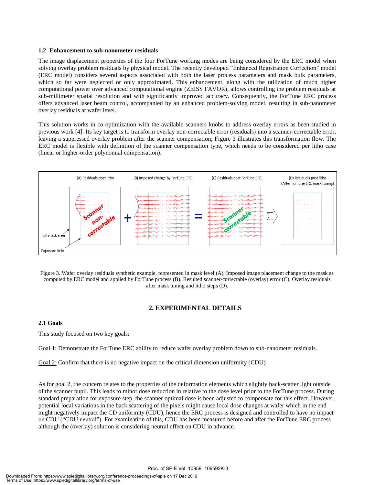#### **1.2 Enhancement to sub-nanometer residuals**

The image displacement properties of the four ForTune working modes are being considered by the ERC model when solving overlay problem residuals by physical model. The recently developed "Enhanced Registration Correction" model (ERC model) considers several aspects associated with both the laser process parameters and mask bulk parameters, which so far were neglected or only approximated. This enhancement, along with the utilization of much higher computational power over advanced computational engine (ZEISS FAVOR), allows controlling the problem residuals at sub-millimeter spatial resolution and with significantly improved accuracy. Consequently, the ForTune ERC process offers advanced laser beam control, accompanied by an enhanced problem-solving model, resulting in sub-nanometer overlay residuals at wafer level.

This solution works in co-optimization with the available scanners knobs to address overlay errors as been studied in previous work [4]. Its key target is to transform overlay non-correctable error (residuals) into a scanner-correctable error, leaving a suppressed overlay problem after the scanner compensation; Figure 3 illustrates this transformation flow. The ERC model is flexible with definition of the scanner compensation type, which needs to be considered per litho case (linear or higher-order polynomial compensation).



Figure 3. Wafer overlay residuals synthetic example, represented in mask level (A), Imposed image placement change to the mask as computed by ERC model and applied by ForTune process (B), Resulted scanner-correctable (overlay) error (C), Overlay residuals after mask tuning and litho steps (D).

#### **2. EXPERIMENTAL DETAILS**

#### **2.1 Goals**

This study focused on two key goals:

Goal 1: Demonstrate the ForTune ERC ability to reduce wafer overlay problem down to sub-nanometer residuals.

Goal 2: Confirm that there is no negative impact on the critical dimension uniformity (CDU)

As for goal 2, the concern relates to the properties of the deformation elements which slightly back-scatter light outside of the scanner pupil. This leads to minor dose reduction in relative to the dose level prior to the ForTune process. During standard preparation for exposure step, the scanner optimal dose is been adjusted to compensate for this effect. However, potential local variations in the back scattering of the pixels might cause local dose changes at wafer which in the end might negatively impact the CD uniformity (CDU), hence the ERC process is designed and controlled to have no impact on CDU ("CDU neutral"). For examination of this, CDU has been measured before and after the ForTune ERC process although the (overlay) solution is considering neutral effect on CDU in advance.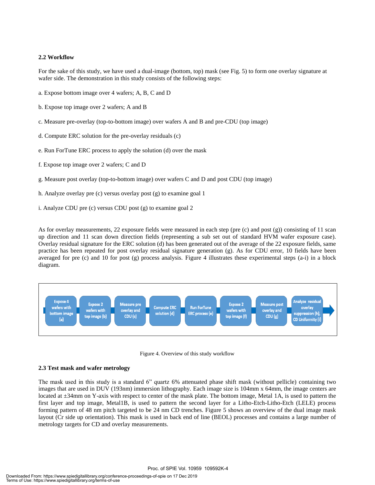#### **2.2 Workflow**

For the sake of this study, we have used a dual-image (bottom, top) mask (see Fig. 5) to form one overlay signature at wafer side. The demonstration in this study consists of the following steps:

- a. Expose bottom image over 4 wafers; A, B, C and D
- b. Expose top image over 2 wafers; A and B
- c. Measure pre-overlay (top-to-bottom image) over wafers A and B and pre-CDU (top image)
- d. Compute ERC solution for the pre-overlay residuals (c)
- e. Run ForTune ERC process to apply the solution (d) over the mask
- f. Expose top image over 2 wafers; C and D
- g. Measure post overlay (top-to-bottom image) over wafers C and D and post CDU (top image)
- h. Analyze overlay pre (c) versus overlay post (g) to examine goal 1
- i. Analyze CDU pre (c) versus CDU post (g) to examine goal 2

As for overlay measurements, 22 exposure fields were measured in each step (pre (c) and post (g)) consisting of 11 scan up direction and 11 scan down direction fields (representing a sub set out of standard HVM wafer exposure case). Overlay residual signature for the ERC solution (d) has been generated out of the average of the 22 exposure fields, same practice has been repeated for post overlay residual signature generation (g). As for CDU error, 10 fields have been averaged for pre (c) and 10 for post (g) process analysis. Figure 4 illustrates these experimental steps (a-i) in a block diagram.



Figure 4. Overview of this study workflow

#### **2.3 Test mask and wafer metrology**

The mask used in this study is a standard 6" quartz 6% attenuated phase shift mask (without pellicle) containing two images that are used in DUV (193nm) immersion lithography. Each image size is 104mm x 64mm, the image centers are located at  $\pm 34$ mm on Y-axis with respect to center of the mask plate. The bottom image, Metal 1A, is used to pattern the first layer and top image, Metal1B, is used to pattern the second layer for a Litho-Etch-Litho-Etch (LELE) process forming pattern of 48 nm pitch targeted to be 24 nm CD trenches. Figure 5 shows an overview of the dual image mask layout (Cr side up orientation). This mask is used in back end of line (BEOL) processes and contains a large number of metrology targets for CD and overlay measurements.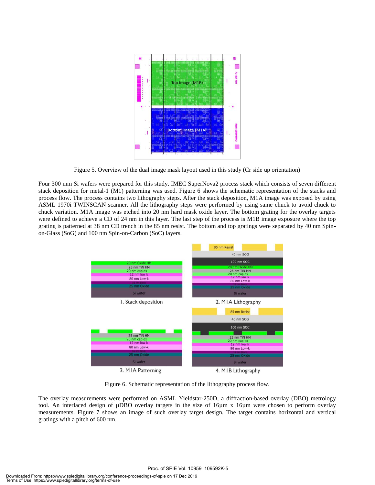

Figure 5. Overview of the dual image mask layout used in this study (Cr side up orientation)

Four 300 mm Si wafers were prepared for this study. IMEC SuperNova2 process stack which consists of seven different stack deposition for metal-1 (M1) patterning was used. Figure 6 shows the schematic representation of the stacks and process flow. The process contains two lithography steps. After the stack deposition, M1A image was exposed by using ASML 1970i TWINSCAN scanner. All the lithography steps were performed by using same chuck to avoid chuck to chuck variation. M1A image was etched into 20 nm hard mask oxide layer. The bottom grating for the overlay targets were defined to achieve a CD of 24 nm in this layer. The last step of the process is M1B image exposure where the top grating is patterned at 38 nm CD trench in the 85 nm resist. The bottom and top gratings were separated by 40 nm Spinon-Glass (SoG) and 100 nm Spin-on-Carbon (SoC) layers.



Figure 6. Schematic representation of the lithography process flow.

The overlay measurements were performed on ASML Yieldstar-250D, a diffraction-based overlay (DBO) metrology tool. An interlaced design of µDBO overlay targets in the size of 16µm x 16µm were chosen to perform overlay measurements. Figure 7 shows an image of such overlay target design. The target contains horizontal and vertical gratings with a pitch of 600 nm.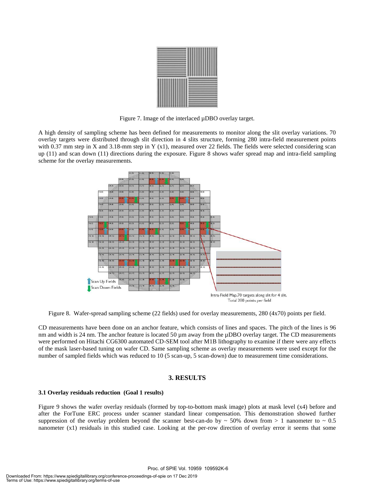

Figure 7. Image of the interlaced  $\mu$ DBO overlay target.

A high density of sampling scheme has been defined for measurements to monitor along the slit overlay variations. 70 overlay targets were distributed through slit direction in 4 slits structure, forming 280 intra-field measurement points with 0.37 mm step in X and 3.18-mm step in Y (x1), measured over 22 fields. The fields were selected considering scan up (11) and scan down (11) directions during the exposure. Figure 8 shows wafer spread map and intra-field sampling scheme for the overlay measurements.



Figure 8. Wafer-spread sampling scheme (22 fields) used for overlay measurements, 280 (4x70) points per field.

CD measurements have been done on an anchor feature, which consists of lines and spaces. The pitch of the lines is 96 nm and width is 24 nm. The anchor feature is located 50  $\mu$ m away from the  $\mu$ DBO overlay target. The CD measurements were performed on Hitachi CG6300 automated CD-SEM tool after M1B lithography to examine if there were any effects of the mask laser-based tuning on wafer CD. Same sampling scheme as overlay measurements were used except for the number of sampled fields which was reduced to 10 (5 scan-up, 5 scan-down) due to measurement time considerations.

#### **3. RESULTS**

#### **3.1 Overlay residuals reduction (Goal 1 results)**

Figure 9 shows the wafer overlay residuals (formed by top-to-bottom mask image) plots at mask level (x4) before and after the ForTune ERC process under scanner standard linear compensation. This demonstration showed further suppression of the overlay problem beyond the scanner best-can-do by  $\sim$  50% down from  $> 1$  nanometer to  $\sim$  0.5 nanometer (x1) residuals in this studied case. Looking at the per-row direction of overlay error it seems that some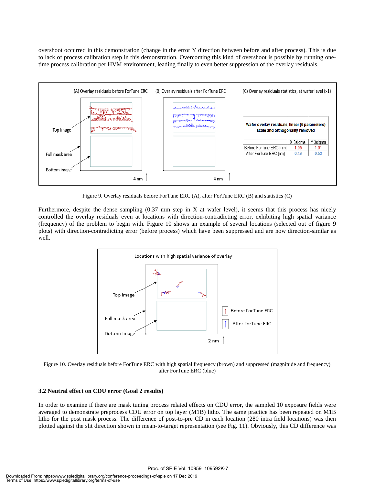overshoot occurred in this demonstration (change in the error Y direction between before and after process). This is due to lack of process calibration step in this demonstration. Overcoming this kind of overshoot is possible by running onetime process calibration per HVM environment, leading finally to even better suppression of the overlay residuals.



Figure 9. Overlay residuals before ForTune ERC (A), after ForTune ERC (B) and statistics (C)

Furthermore, despite the dense sampling (0.37 mm step in X at wafer level), it seems that this process has nicely controlled the overlay residuals even at locations with direction-contradicting error, exhibiting high spatial variance (frequency) of the problem to begin with. Figure 10 shows an example of several locations (selected out of figure 9 plots) with direction-contradicting error (before process) which have been suppressed and are now direction-similar as well.



Figure 10. Overlay residuals before ForTune ERC with high spatial frequency (brown) and suppressed (magnitude and frequency) after ForTune ERC (blue)

#### **3.2 Neutral effect on CDU error (Goal 2 results)**

In order to examine if there are mask tuning process related effects on CDU error, the sampled 10 exposure fields were averaged to demonstrate preprocess CDU error on top layer (M1B) litho. The same practice has been repeated on M1B litho for the post mask process. The difference of post-to-pre CD in each location (280 intra field locations) was then plotted against the slit direction shown in mean-to-target representation (see Fig. 11). Obviously, this CD difference was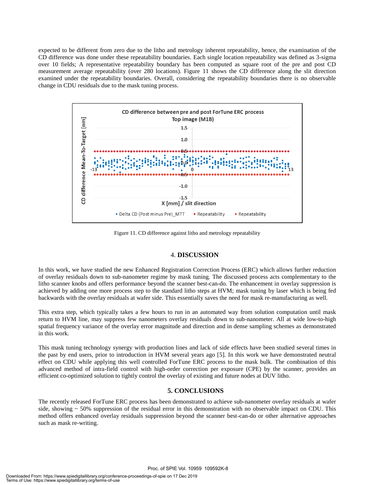expected to be different from zero due to the litho and metrology inherent repeatability, hence, the examination of the CD difference was done under these repeatability boundaries. Each single location repeatability was defined as 3-sigma over 10 fields; A representative repeatability boundary has been computed as square root of the pre and post CD measurement average repeatability (over 280 locations). Figure 11 shows the CD difference along the slit direction examined under the repeatability boundaries. Overall, considering the repeatability boundaries there is no observable change in CDU residuals due to the mask tuning process.



Figure 11. CD difference against litho and metrology repeatability

#### 4. **DISCUSSION**

In this work, we have studied the new Enhanced Registration Correction Process (ERC) which allows further reduction of overlay residuals down to sub-nanometer regime by mask tuning. The discussed process acts complementary to the litho scanner knobs and offers performance beyond the scanner best-can-do. The enhancement in overlay suppression is achieved by adding one more process step to the standard litho steps at HVM; mask tuning by laser which is being fed backwards with the overlay residuals at wafer side. This essentially saves the need for mask re-manufacturing as well.

This extra step, which typically takes a few hours to run in an automated way from solution computation until mask return to HVM line, may suppress few nanometers overlay residuals down to sub-nanometer. All at wide low-to-high spatial frequency variance of the overlay error magnitude and direction and in dense sampling schemes as demonstrated in this work.

This mask tuning technology synergy with production lines and lack of side effects have been studied several times in the past by end users, prior to introduction in HVM several years ago [5]. In this work we have demonstrated neutral effect on CDU while applying this well controlled ForTune ERC process to the mask bulk. The combination of this advanced method of intra-field control with high-order correction per exposure (CPE) by the scanner, provides an efficient co-optimized solution to tightly control the overlay of existing and future nodes at DUV litho.

#### **5. CONCLUSIONS**

The recently released ForTune ERC process has been demonstrated to achieve sub-nanometer overlay residuals at wafer side, showing  $\sim$  50% suppression of the residual error in this demonstration with no observable impact on CDU. This method offers enhanced overlay residuals suppression beyond the scanner best-can-do or other alternative approaches such as mask re-writing.